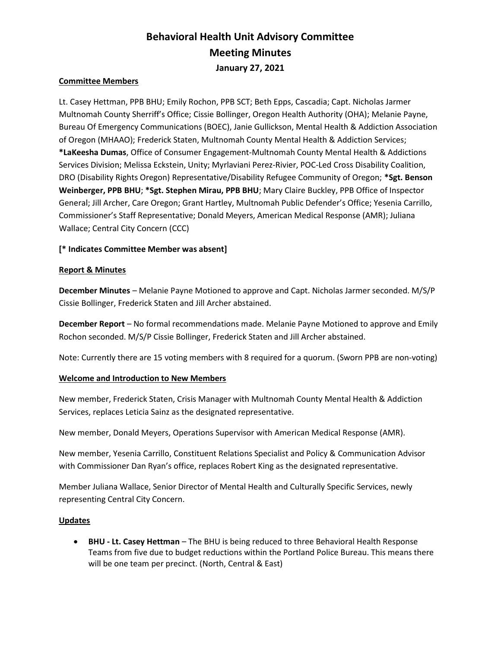# Behavioral Health Unit Advisory Committee Meeting Minutes January 27, 2021

# Committee Members

Lt. Casey Hettman, PPB BHU; Emily Rochon, PPB SCT; Beth Epps, Cascadia; Capt. Nicholas Jarmer Multnomah County Sherriff's Office; Cissie Bollinger, Oregon Health Authority (OHA); Melanie Payne, Bureau Of Emergency Communications (BOEC), Janie Gullickson, Mental Health & Addiction Association of Oregon (MHAAO); Frederick Staten, Multnomah County Mental Health & Addiction Services; \*LaKeesha Dumas, Office of Consumer Engagement-Multnomah County Mental Health & Addictions Services Division; Melissa Eckstein, Unity; Myrlaviani Perez-Rivier, POC-Led Cross Disability Coalition, DRO (Disability Rights Oregon) Representative/Disability Refugee Community of Oregon; \*Sgt. Benson Weinberger, PPB BHU; \*Sgt. Stephen Mirau, PPB BHU; Mary Claire Buckley, PPB Office of Inspector General; Jill Archer, Care Oregon; Grant Hartley, Multnomah Public Defender's Office; Yesenia Carrillo, Commissioner's Staff Representative; Donald Meyers, American Medical Response (AMR); Juliana Wallace; Central City Concern (CCC)

# [\* Indicates Committee Member was absent]

#### Report & Minutes

December Minutes – Melanie Payne Motioned to approve and Capt. Nicholas Jarmer seconded. M/S/P Cissie Bollinger, Frederick Staten and Jill Archer abstained.

December Report – No formal recommendations made. Melanie Payne Motioned to approve and Emily Rochon seconded. M/S/P Cissie Bollinger, Frederick Staten and Jill Archer abstained.

Note: Currently there are 15 voting members with 8 required for a quorum. (Sworn PPB are non-voting)

#### Welcome and Introduction to New Members

New member, Frederick Staten, Crisis Manager with Multnomah County Mental Health & Addiction Services, replaces Leticia Sainz as the designated representative.

New member, Donald Meyers, Operations Supervisor with American Medical Response (AMR).

New member, Yesenia Carrillo, Constituent Relations Specialist and Policy & Communication Advisor with Commissioner Dan Ryan's office, replaces Robert King as the designated representative.

Member Juliana Wallace, Senior Director of Mental Health and Culturally Specific Services, newly representing Central City Concern.

#### Updates

• BHU - Lt. Casey Hettman – The BHU is being reduced to three Behavioral Health Response Teams from five due to budget reductions within the Portland Police Bureau. This means there will be one team per precinct. (North, Central & East)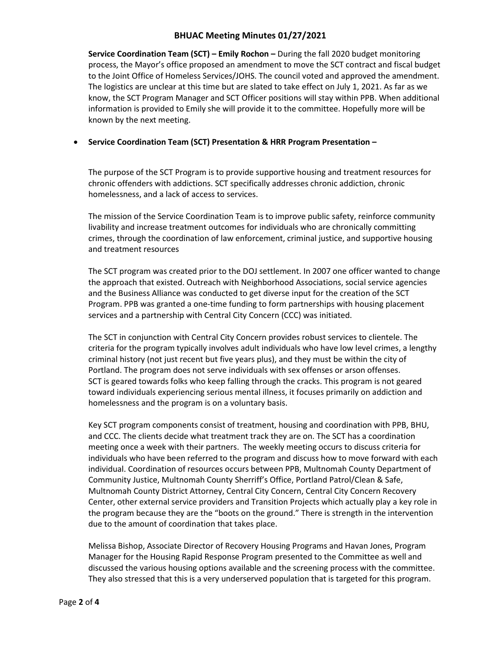# BHUAC Meeting Minutes 01/27/2021

Service Coordination Team (SCT) – Emily Rochon – During the fall 2020 budget monitoring process, the Mayor's office proposed an amendment to move the SCT contract and fiscal budget to the Joint Office of Homeless Services/JOHS. The council voted and approved the amendment. The logistics are unclear at this time but are slated to take effect on July 1, 2021. As far as we know, the SCT Program Manager and SCT Officer positions will stay within PPB. When additional information is provided to Emily she will provide it to the committee. Hopefully more will be known by the next meeting.

# Service Coordination Team (SCT) Presentation & HRR Program Presentation –

The purpose of the SCT Program is to provide supportive housing and treatment resources for chronic offenders with addictions. SCT specifically addresses chronic addiction, chronic homelessness, and a lack of access to services.

The mission of the Service Coordination Team is to improve public safety, reinforce community livability and increase treatment outcomes for individuals who are chronically committing crimes, through the coordination of law enforcement, criminal justice, and supportive housing and treatment resources

The SCT program was created prior to the DOJ settlement. In 2007 one officer wanted to change the approach that existed. Outreach with Neighborhood Associations, social service agencies and the Business Alliance was conducted to get diverse input for the creation of the SCT Program. PPB was granted a one-time funding to form partnerships with housing placement services and a partnership with Central City Concern (CCC) was initiated.

The SCT in conjunction with Central City Concern provides robust services to clientele. The criteria for the program typically involves adult individuals who have low level crimes, a lengthy criminal history (not just recent but five years plus), and they must be within the city of Portland. The program does not serve individuals with sex offenses or arson offenses. SCT is geared towards folks who keep falling through the cracks. This program is not geared toward individuals experiencing serious mental illness, it focuses primarily on addiction and homelessness and the program is on a voluntary basis.

Key SCT program components consist of treatment, housing and coordination with PPB, BHU, and CCC. The clients decide what treatment track they are on. The SCT has a coordination meeting once a week with their partners. The weekly meeting occurs to discuss criteria for individuals who have been referred to the program and discuss how to move forward with each individual. Coordination of resources occurs between PPB, Multnomah County Department of Community Justice, Multnomah County Sherriff's Office, Portland Patrol/Clean & Safe, Multnomah County District Attorney, Central City Concern, Central City Concern Recovery Center, other external service providers and Transition Projects which actually play a key role in the program because they are the "boots on the ground." There is strength in the intervention due to the amount of coordination that takes place.

Melissa Bishop, Associate Director of Recovery Housing Programs and Havan Jones, Program Manager for the Housing Rapid Response Program presented to the Committee as well and discussed the various housing options available and the screening process with the committee. They also stressed that this is a very underserved population that is targeted for this program.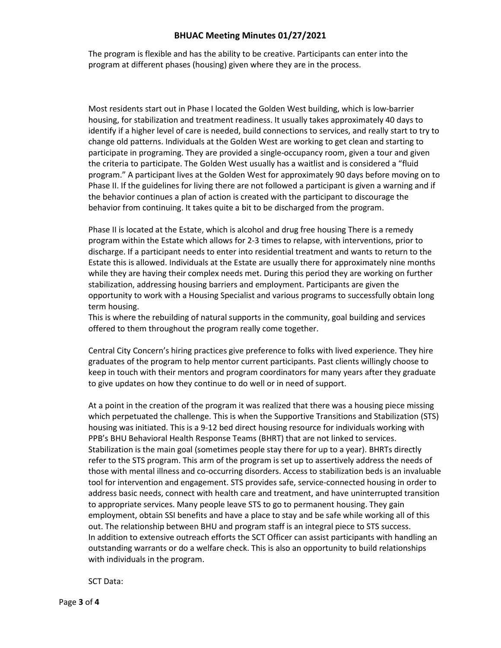# BHUAC Meeting Minutes 01/27/2021

The program is flexible and has the ability to be creative. Participants can enter into the program at different phases (housing) given where they are in the process.

Most residents start out in Phase I located the Golden West building, which is low-barrier housing, for stabilization and treatment readiness. It usually takes approximately 40 days to identify if a higher level of care is needed, build connections to services, and really start to try to change old patterns. Individuals at the Golden West are working to get clean and starting to participate in programing. They are provided a single-occupancy room, given a tour and given the criteria to participate. The Golden West usually has a waitlist and is considered a "fluid program." A participant lives at the Golden West for approximately 90 days before moving on to Phase II. If the guidelines for living there are not followed a participant is given a warning and if the behavior continues a plan of action is created with the participant to discourage the behavior from continuing. It takes quite a bit to be discharged from the program.

Phase II is located at the Estate, which is alcohol and drug free housing There is a remedy program within the Estate which allows for 2-3 times to relapse, with interventions, prior to discharge. If a participant needs to enter into residential treatment and wants to return to the Estate this is allowed. Individuals at the Estate are usually there for approximately nine months while they are having their complex needs met. During this period they are working on further stabilization, addressing housing barriers and employment. Participants are given the opportunity to work with a Housing Specialist and various programs to successfully obtain long term housing.

This is where the rebuilding of natural supports in the community, goal building and services offered to them throughout the program really come together.

Central City Concern's hiring practices give preference to folks with lived experience. They hire graduates of the program to help mentor current participants. Past clients willingly choose to keep in touch with their mentors and program coordinators for many years after they graduate to give updates on how they continue to do well or in need of support.

At a point in the creation of the program it was realized that there was a housing piece missing which perpetuated the challenge. This is when the Supportive Transitions and Stabilization (STS) housing was initiated. This is a 9-12 bed direct housing resource for individuals working with PPB's BHU Behavioral Health Response Teams (BHRT) that are not linked to services. Stabilization is the main goal (sometimes people stay there for up to a year). BHRTs directly refer to the STS program. This arm of the program is set up to assertively address the needs of those with mental illness and co-occurring disorders. Access to stabilization beds is an invaluable tool for intervention and engagement. STS provides safe, service-connected housing in order to address basic needs, connect with health care and treatment, and have uninterrupted transition to appropriate services. Many people leave STS to go to permanent housing. They gain employment, obtain SSI benefits and have a place to stay and be safe while working all of this out. The relationship between BHU and program staff is an integral piece to STS success. In addition to extensive outreach efforts the SCT Officer can assist participants with handling an outstanding warrants or do a welfare check. This is also an opportunity to build relationships with individuals in the program.

SCT Data: